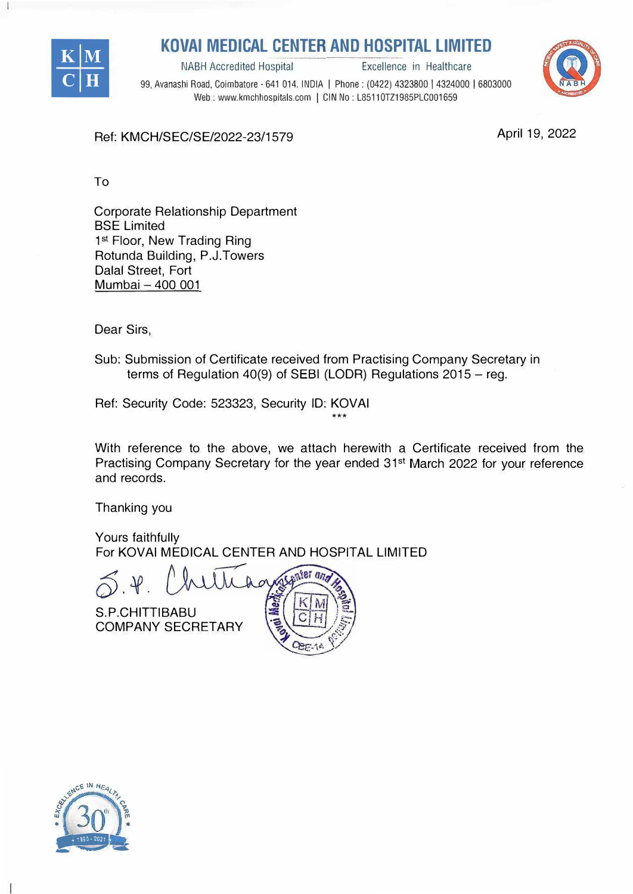

**KOVAI MEDICAL CENTER AND HOSPITAL LIMITED**<br>**Excellence in Healthcare** 



99, Avanashi Road, Coimbatore - 641 014. INDIA I Phone: (0422) 4323800 I 4324000 I 6803000 Web: www.kmchhospitals.com | CIN No: L85110TZ1985PLC001659

April 19, 2022

Ref: KMCH/SEC/SE/2022-23/1579

To

Corporate Relationship Department **BSE Limited** 1st Floor, New Trading Ring Rotunda Building, P.J.Towers Dalal Street, Fort Mumbai - 400 001

Dear Sirs,

Sub: Submission of Certificate received from Practising Company Secretary in terms of Regulation 40(9) of SEBI (LODR) Regulations  $2015 - \text{reg.}$ 

Ref: Security Code: 523323, Security ID: KOVAi

With reference to the above, we attach herewith a Certificate received from the Practising Company Secretary for the year ended 31<sup>st</sup> March 2022 for your reference and records.

\*\*\*

Thanking you

Yours faithfully For KOVAi MEDICAL CENTER AND HOSPITAL LIMITED

nier and

S.P.CHITTIBABU COMPANY SECRETARY



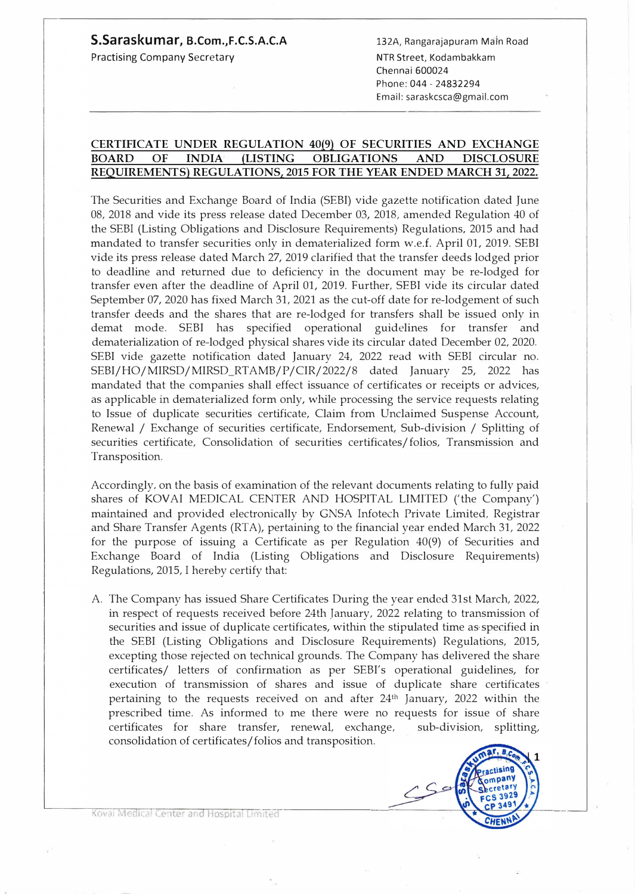## **S.Saraskumar, B.Com.,F.C.S.A.C.A**

Practising Company Secretary

132A, Rangarajapuram Mafn Road NTR Street, Kodambakkam Chennai 600024 Phone:044-24832294 Email: saraskcsca@gmail.com

## **CERTIFICATE UNDER REGULATION 40(9) OF SECURITIES AND EXCHANGE BOARD OF INDIA (LISTING OBLIGATIONS AND · DISCLOSURE REQUIREMENTS) REGULATIONS, 2015 FOR THE YEAR ENDED MARCH 31, 2022.**

The Securities and Exchange Board of India (SEBI) vide gazette notification dated June 08, 2018 and vide its press release dated December 03, 2018, amended Regulation 40 of the SEBI (Listing Obligations and Disclosure Requirements) Regulations, 2015 and had mandated to transfer securities only in dematerialized form w.e.£. April 01, 2019. SEBI vide its press release dated March 27, 2019 clarified that the transfer deeds lodged prior to deadline and returned due to deficiency in the document may be re-lodged for transfer even after the deadline of April 01, 2019. Further, SEBI vide its circular dated September 07, 2020 has fixed March 31, 2021 as the cut-off date for re-lodgement of such transfer deeds and the shares that are re-lodged for transfers shall be issued only in demat mode. SEBI has specified operational guidelines for transfer and dematerialization of re-lodged physical shares vide its circular dated December 02, 2020. SEBI vide gazette notification dated January 24, 2022 read with SEBI circular no. SEBI/HO/MIRSD/MIRSD\_RTAMB/P/CIR/2022/8 dated January 25, 2022 has mandated that the companies shall effect issuance of certificates or receipts or advices, as applicable in dematerialized form only, while processing the service requests relating to Issue of duplicate securities certificate, Claim from Unclaimed Suspense Account Renewal / Exchange of securities certificate, Endorsement, Sub-division / Splitting of securities certificate, Consolidation of securities certificates/ folios, Transmission and Transposition.

Accordingly, on the basis of examination of the relevant documents relating to fully paid shares of KOVAI MEDICAL CENTER AND HOSPITAL LIMITED ('the Company') maintained and provided electronically by GNSA Infotech Private Limited, Registrar and Share Transfer Agents (RTA), pertaining to'the financial year ended March 31, 2022 for the purpose of issuing a Certificate as per Regulation 40(9) of Securities and Exchange Board of India (Listing Obligations and Disclosure Requirements) Regulations, 2015, I hereby certify that:

A. The Company has issued Share Certificates During the year ended 31st March, 2022, in respect of requests received before 24th January, 2022 relating to transmission of securities and issue of duplicate certificates, within the stipulated time as specified in the SEBI (Listing Obligations and Disclosure Requirements) Regulations, 2015, excepting those rejected on technical grounds. The Company has delivered the share certificates/ letters of confirmation as per SEBI's operational guidelines, for execution of transmission of shares and issue of duplicate share certificates pertaining to the requests received on and after 24th January, 2022 within the prescribed time. As informed to me there were no requests for issue of share certificates for share transfer, renewal, exchange, sub-division, splitting, consolidation of certificates/ folios and transposition.



Kovai Medical Center and Hospital Limited